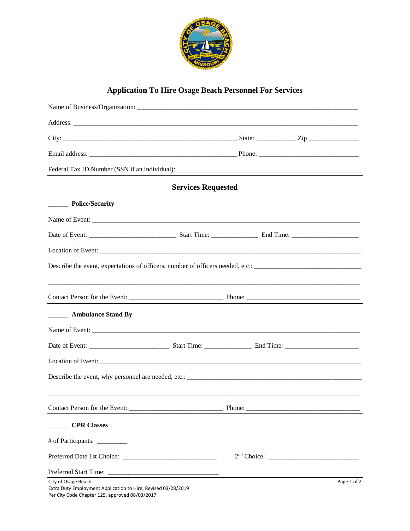

## **Application To Hire Osage Beach Personnel For Services**

|                                                                                                                                        | <b>Services Requested</b> |        |  |             |
|----------------------------------------------------------------------------------------------------------------------------------------|---------------------------|--------|--|-------------|
| __________ Police/Security                                                                                                             |                           |        |  |             |
|                                                                                                                                        |                           |        |  |             |
|                                                                                                                                        |                           |        |  |             |
|                                                                                                                                        |                           |        |  |             |
| Describe the event, expectations of officers, number of officers needed, etc.:                                                         |                           |        |  |             |
|                                                                                                                                        |                           |        |  |             |
|                                                                                                                                        |                           |        |  |             |
| <b>EXAMPLE Ambulance Stand By</b>                                                                                                      |                           |        |  |             |
|                                                                                                                                        |                           |        |  |             |
|                                                                                                                                        |                           |        |  |             |
|                                                                                                                                        |                           |        |  |             |
|                                                                                                                                        |                           |        |  |             |
|                                                                                                                                        |                           |        |  |             |
| Contact Person for the Event:                                                                                                          |                           | Phone: |  |             |
| <b>CPR Classes</b>                                                                                                                     |                           |        |  |             |
|                                                                                                                                        |                           |        |  |             |
|                                                                                                                                        |                           |        |  |             |
|                                                                                                                                        |                           |        |  |             |
| City of Osage Beach<br>Extra Duty Employment Application to Hire, Revised 03/28/2019<br>Per City Code Chapter 125, approved 08/03/2017 |                           |        |  | Page 1 of 2 |